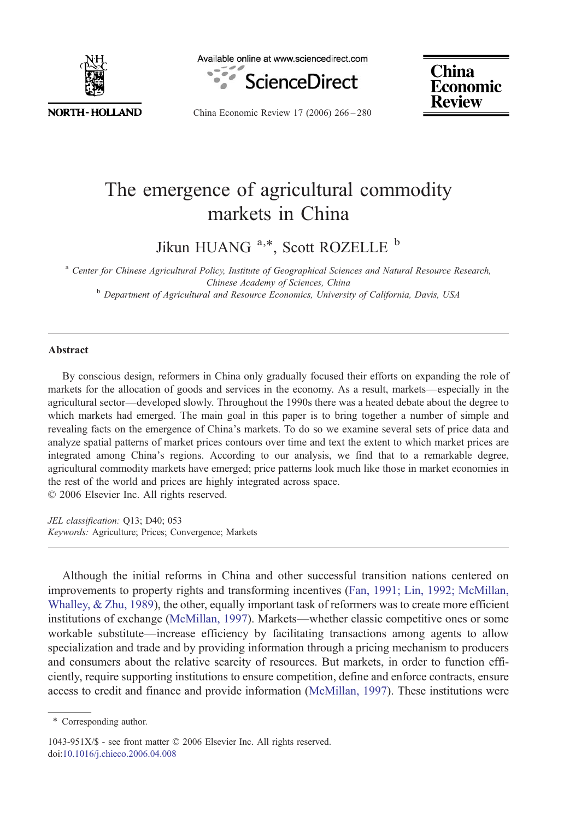

Available online at www.sciencedirect.com



**China Economic Review** 

China Economic Review 17 (2006) 266–280

## The emergence of agricultural commodity markets in China

Jikun HUANG <sup>a,\*</sup>, Scott ROZELLE<sup>b</sup>

<sup>a</sup> Center for Chinese Agricultural Policy, Institute of Geographical Sciences and Natural Resource Research, Chinese Academy of Sciences, China <sup>b</sup> Department of Agricultural and Resource Economics, University of California, Davis, USA

## Abstract

By conscious design, reformers in China only gradually focused their efforts on expanding the role of markets for the allocation of goods and services in the economy. As a result, markets—especially in the agricultural sector—developed slowly. Throughout the 1990s there was a heated debate about the degree to which markets had emerged. The main goal in this paper is to bring together a number of simple and revealing facts on the emergence of China's markets. To do so we examine several sets of price data and analyze spatial patterns of market prices contours over time and text the extent to which market prices are integrated among China's regions. According to our analysis, we find that to a remarkable degree, agricultural commodity markets have emerged; price patterns look much like those in market economies in the rest of the world and prices are highly integrated across space. © 2006 Elsevier Inc. All rights reserved.

JEL classification: Q13; D40; 053 Keywords: Agriculture; Prices; Convergence; Markets

Although the initial reforms in China and other successful transition nations centered on improvements to property rights and transforming incentives [\(Fan, 1991; Lin, 1992; McMillan,](#page--1-0) [Whalley, & Zhu, 1989\)](#page--1-0), the other, equally important task of reformers was to create more efficient institutions of exchange ([McMillan, 1997](#page--1-0)). Markets—whether classic competitive ones or some workable substitute—increase efficiency by facilitating transactions among agents to allow specialization and trade and by providing information through a pricing mechanism to producers and consumers about the relative scarcity of resources. But markets, in order to function efficiently, require supporting institutions to ensure competition, define and enforce contracts, ensure access to credit and finance and provide information [\(McMillan, 1997](#page--1-0)). These institutions were

1043-951X/\$ - see front matter © 2006 Elsevier Inc. All rights reserved. doi[:10.1016/j.chieco.2006.04.008](http://dx.doi.org/10.1016/j.chieco.2006.04.008)

<sup>⁎</sup> Corresponding author.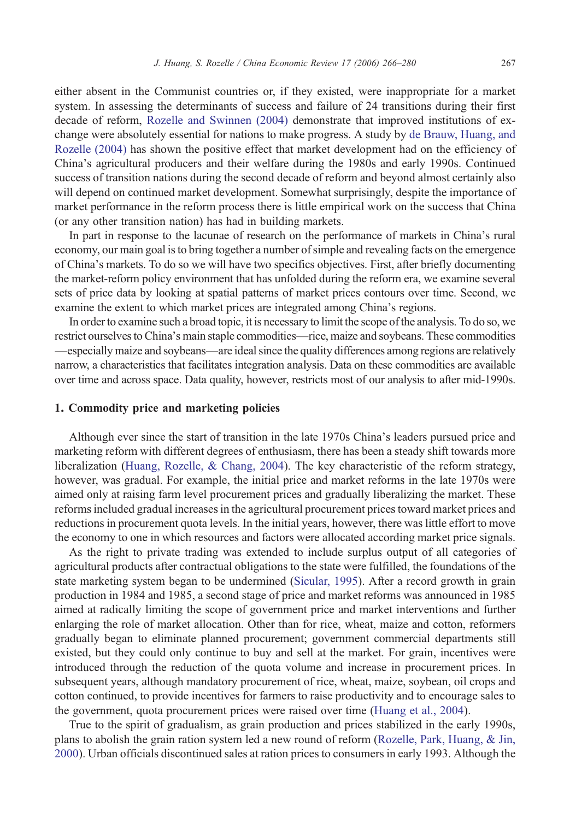either absent in the Communist countries or, if they existed, were inappropriate for a market system. In assessing the determinants of success and failure of 24 transitions during their first decade of reform, [Rozelle and Swinnen \(2004\)](#page--1-0) demonstrate that improved institutions of exchange were absolutely essential for nations to make progress. A study by [de Brauw, Huang, and](#page--1-0) [Rozelle \(2004\)](#page--1-0) has shown the positive effect that market development had on the efficiency of China's agricultural producers and their welfare during the 1980s and early 1990s. Continued success of transition nations during the second decade of reform and beyond almost certainly also will depend on continued market development. Somewhat surprisingly, despite the importance of market performance in the reform process there is little empirical work on the success that China (or any other transition nation) has had in building markets.

In part in response to the lacunae of research on the performance of markets in China's rural economy, our main goal is to bring together a number of simple and revealing facts on the emergence of China's markets. To do so we will have two specifics objectives. First, after briefly documenting the market-reform policy environment that has unfolded during the reform era, we examine several sets of price data by looking at spatial patterns of market prices contours over time. Second, we examine the extent to which market prices are integrated among China's regions.

In order to examine such a broad topic, it is necessary to limit the scope of the analysis. To do so, we restrict ourselves to China's main staple commodities—rice, maize and soybeans. These commodities —especially maize and soybeans—are ideal since the quality differences among regions are relatively narrow, a characteristics that facilitates integration analysis. Data on these commodities are available over time and across space. Data quality, however, restricts most of our analysis to after mid-1990s.

## 1. Commodity price and marketing policies

Although ever since the start of transition in the late 1970s China's leaders pursued price and marketing reform with different degrees of enthusiasm, there has been a steady shift towards more liberalization ([Huang, Rozelle, & Chang, 2004\)](#page--1-0). The key characteristic of the reform strategy, however, was gradual. For example, the initial price and market reforms in the late 1970s were aimed only at raising farm level procurement prices and gradually liberalizing the market. These reforms included gradual increases in the agricultural procurement prices toward market prices and reductions in procurement quota levels. In the initial years, however, there was little effort to move the economy to one in which resources and factors were allocated according market price signals.

As the right to private trading was extended to include surplus output of all categories of agricultural products after contractual obligations to the state were fulfilled, the foundations of the state marketing system began to be undermined ([Sicular, 1995](#page--1-0)). After a record growth in grain production in 1984 and 1985, a second stage of price and market reforms was announced in 1985 aimed at radically limiting the scope of government price and market interventions and further enlarging the role of market allocation. Other than for rice, wheat, maize and cotton, reformers gradually began to eliminate planned procurement; government commercial departments still existed, but they could only continue to buy and sell at the market. For grain, incentives were introduced through the reduction of the quota volume and increase in procurement prices. In subsequent years, although mandatory procurement of rice, wheat, maize, soybean, oil crops and cotton continued, to provide incentives for farmers to raise productivity and to encourage sales to the government, quota procurement prices were raised over time [\(Huang et al., 2004](#page--1-0)).

True to the spirit of gradualism, as grain production and prices stabilized in the early 1990s, plans to abolish the grain ration system led a new round of reform ([Rozelle, Park, Huang, & Jin,](#page--1-0) [2000](#page--1-0)). Urban officials discontinued sales at ration prices to consumers in early 1993. Although the